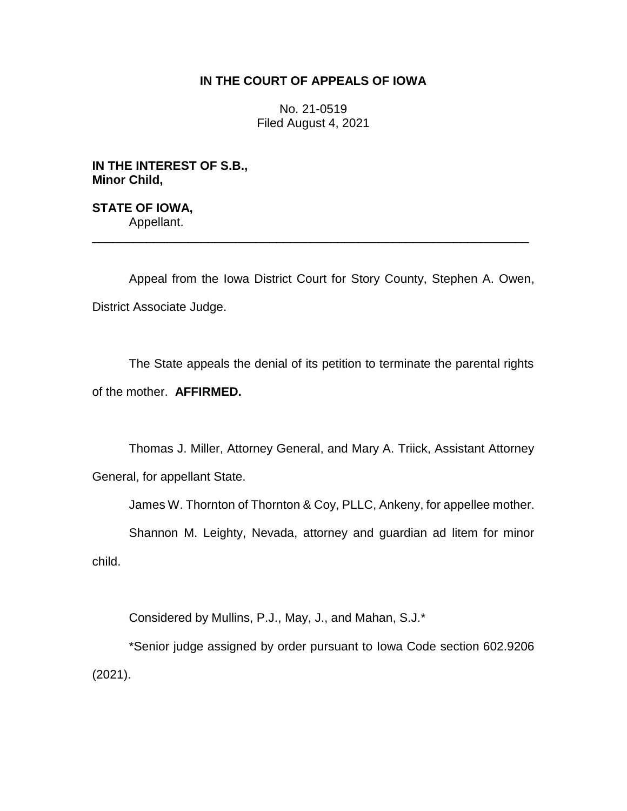# **IN THE COURT OF APPEALS OF IOWA**

No. 21-0519 Filed August 4, 2021

**IN THE INTEREST OF S.B., Minor Child,**

**STATE OF IOWA,** Appellant. \_\_\_\_\_\_\_\_\_\_\_\_\_\_\_\_\_\_\_\_\_\_\_\_\_\_\_\_\_\_\_\_\_\_\_\_\_\_\_\_\_\_\_\_\_\_\_\_\_\_\_\_\_\_\_\_\_\_\_\_\_\_\_\_

Appeal from the Iowa District Court for Story County, Stephen A. Owen, District Associate Judge.

The State appeals the denial of its petition to terminate the parental rights of the mother. **AFFIRMED.**

Thomas J. Miller, Attorney General, and Mary A. Triick, Assistant Attorney General, for appellant State.

James W. Thornton of Thornton & Coy, PLLC, Ankeny, for appellee mother.

Shannon M. Leighty, Nevada, attorney and guardian ad litem for minor child.

Considered by Mullins, P.J., May, J., and Mahan, S.J.\*

\*Senior judge assigned by order pursuant to Iowa Code section 602.9206 (2021).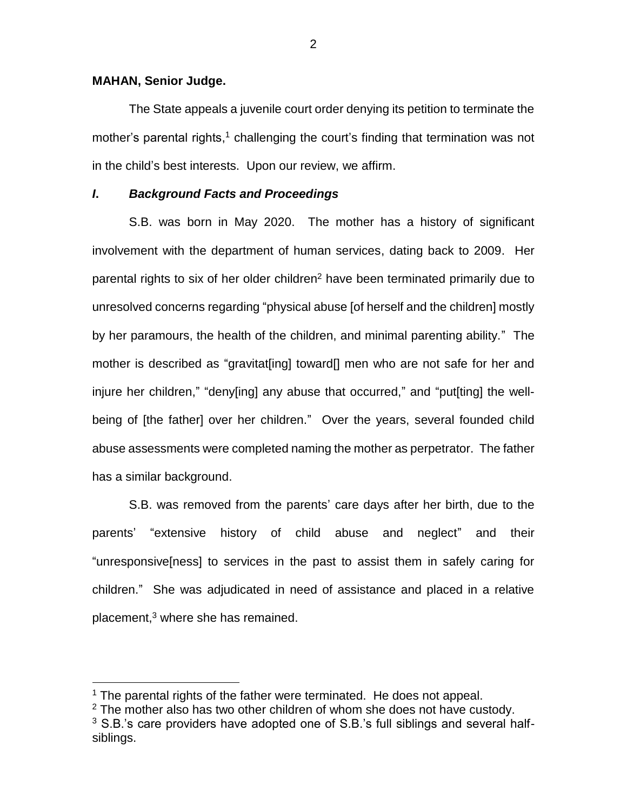## **MAHAN, Senior Judge.**

 $\overline{a}$ 

The State appeals a juvenile court order denying its petition to terminate the mother's parental rights,<sup>1</sup> challenging the court's finding that termination was not in the child's best interests. Upon our review, we affirm.

## *I***.** *Background Facts and Proceedings*

S.B. was born in May 2020. The mother has a history of significant involvement with the department of human services, dating back to 2009. Her parental rights to six of her older children<sup>2</sup> have been terminated primarily due to unresolved concerns regarding "physical abuse [of herself and the children] mostly by her paramours, the health of the children, and minimal parenting ability." The mother is described as "gravitat[ing] toward[] men who are not safe for her and injure her children," "deny[ing] any abuse that occurred," and "put[ting] the wellbeing of [the father] over her children." Over the years, several founded child abuse assessments were completed naming the mother as perpetrator. The father has a similar background.

S.B. was removed from the parents' care days after her birth, due to the parents' "extensive history of child abuse and neglect" and their "unresponsive[ness] to services in the past to assist them in safely caring for children." She was adjudicated in need of assistance and placed in a relative placement,<sup>3</sup> where she has remained.

 $1$  The parental rights of the father were terminated. He does not appeal.

 $2$  The mother also has two other children of whom she does not have custody.

 $3$  S.B.'s care providers have adopted one of S.B.'s full siblings and several halfsiblings.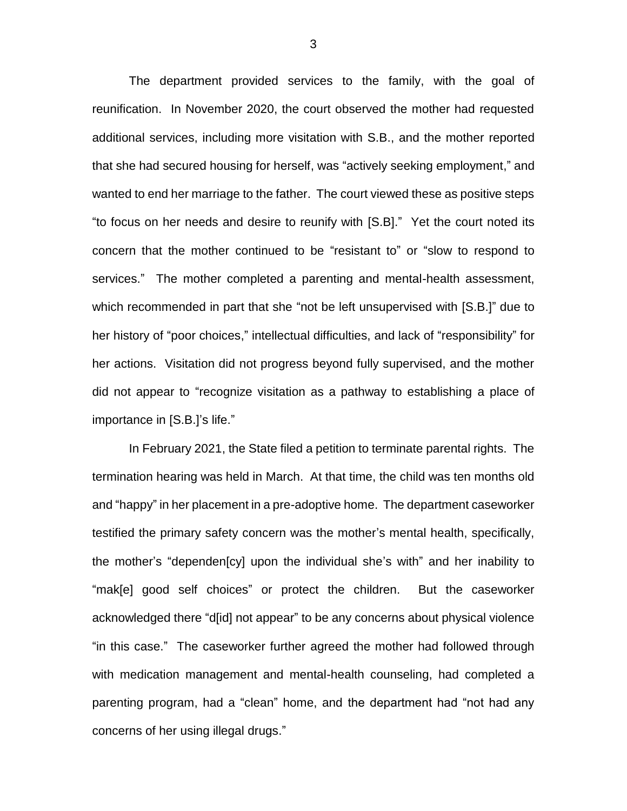The department provided services to the family, with the goal of reunification. In November 2020, the court observed the mother had requested additional services, including more visitation with S.B., and the mother reported that she had secured housing for herself, was "actively seeking employment," and wanted to end her marriage to the father. The court viewed these as positive steps "to focus on her needs and desire to reunify with [S.B]." Yet the court noted its concern that the mother continued to be "resistant to" or "slow to respond to services." The mother completed a parenting and mental-health assessment, which recommended in part that she "not be left unsupervised with [S.B.]" due to her history of "poor choices," intellectual difficulties, and lack of "responsibility" for her actions. Visitation did not progress beyond fully supervised, and the mother did not appear to "recognize visitation as a pathway to establishing a place of importance in [S.B.]'s life."

In February 2021, the State filed a petition to terminate parental rights. The termination hearing was held in March. At that time, the child was ten months old and "happy" in her placement in a pre-adoptive home. The department caseworker testified the primary safety concern was the mother's mental health, specifically, the mother's "dependen[cy] upon the individual she's with" and her inability to "mak[e] good self choices" or protect the children. But the caseworker acknowledged there "d[id] not appear" to be any concerns about physical violence "in this case." The caseworker further agreed the mother had followed through with medication management and mental-health counseling, had completed a parenting program, had a "clean" home, and the department had "not had any concerns of her using illegal drugs."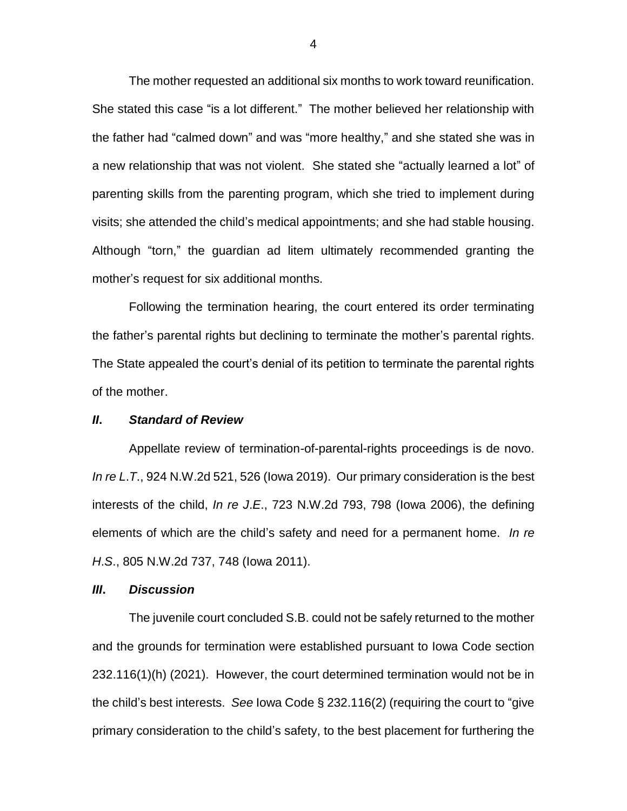The mother requested an additional six months to work toward reunification. She stated this case "is a lot different." The mother believed her relationship with the father had "calmed down" and was "more healthy," and she stated she was in a new relationship that was not violent. She stated she "actually learned a lot" of parenting skills from the parenting program, which she tried to implement during visits; she attended the child's medical appointments; and she had stable housing. Although "torn," the guardian ad litem ultimately recommended granting the mother's request for six additional months.

Following the termination hearing, the court entered its order terminating the father's parental rights but declining to terminate the mother's parental rights. The State appealed the court's denial of its petition to terminate the parental rights of the mother.

#### *II***.** *Standard of Review*

Appellate review of termination-of-parental-rights proceedings is de novo. *In re L*.*T*., 924 N.W.2d 521, 526 (Iowa 2019). Our primary consideration is the best interests of the child, *In re J*.*E*., 723 N.W.2d 793, 798 (Iowa 2006), the defining elements of which are the child's safety and need for a permanent home. *In re H*.*S*., 805 N.W.2d 737, 748 (Iowa 2011).

## *III***.** *Discussion*

The juvenile court concluded S.B. could not be safely returned to the mother and the grounds for termination were established pursuant to Iowa Code section 232.116(1)(h) (2021). However, the court determined termination would not be in the child's best interests. *See* Iowa Code § 232.116(2) (requiring the court to "give primary consideration to the child's safety, to the best placement for furthering the

4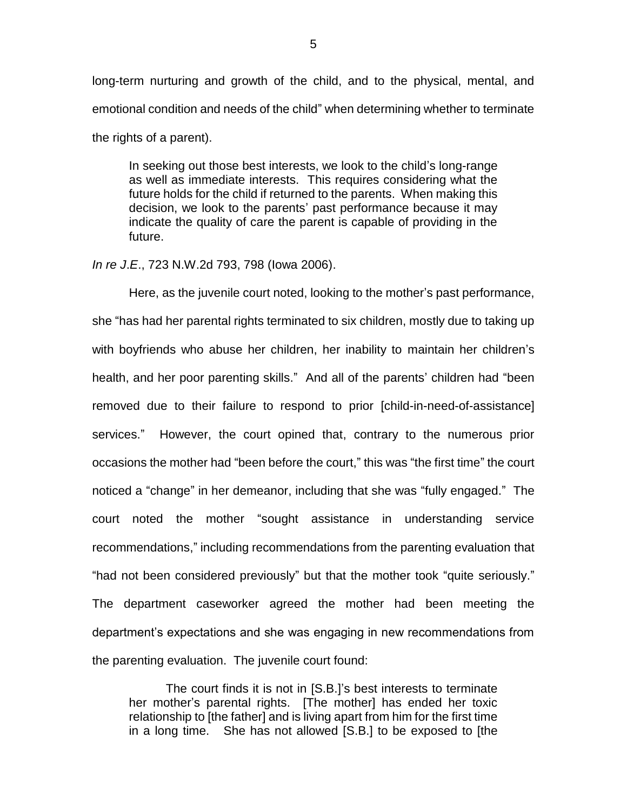long-term nurturing and growth of the child, and to the physical, mental, and emotional condition and needs of the child" when determining whether to terminate the rights of a parent).

In seeking out those best interests, we look to the child's long-range as well as immediate interests. This requires considering what the future holds for the child if returned to the parents. When making this decision, we look to the parents' past performance because it may indicate the quality of care the parent is capable of providing in the future.

#### *In re J*.*E*., 723 N.W.2d 793, 798 (Iowa 2006).

Here, as the juvenile court noted, looking to the mother's past performance, she "has had her parental rights terminated to six children, mostly due to taking up with boyfriends who abuse her children, her inability to maintain her children's health, and her poor parenting skills." And all of the parents' children had "been removed due to their failure to respond to prior [child-in-need-of-assistance] services." However, the court opined that, contrary to the numerous prior occasions the mother had "been before the court," this was "the first time" the court noticed a "change" in her demeanor, including that she was "fully engaged." The court noted the mother "sought assistance in understanding service recommendations," including recommendations from the parenting evaluation that "had not been considered previously" but that the mother took "quite seriously." The department caseworker agreed the mother had been meeting the department's expectations and she was engaging in new recommendations from the parenting evaluation. The juvenile court found:

The court finds it is not in [S.B.]'s best interests to terminate her mother's parental rights. [The mother] has ended her toxic relationship to [the father] and is living apart from him for the first time in a long time. She has not allowed [S.B.] to be exposed to [the